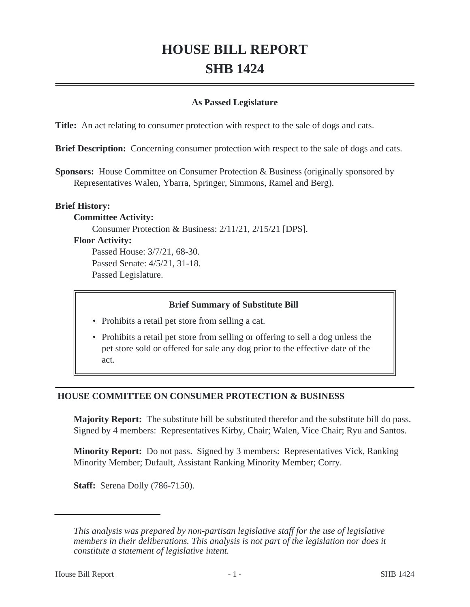# **HOUSE BILL REPORT SHB 1424**

#### **As Passed Legislature**

**Title:** An act relating to consumer protection with respect to the sale of dogs and cats.

**Brief Description:** Concerning consumer protection with respect to the sale of dogs and cats.

**Sponsors:** House Committee on Consumer Protection & Business (originally sponsored by Representatives Walen, Ybarra, Springer, Simmons, Ramel and Berg).

#### **Brief History:**

#### **Committee Activity:**

Consumer Protection & Business: 2/11/21, 2/15/21 [DPS].

#### **Floor Activity:**

Passed House: 3/7/21, 68-30. Passed Senate: 4/5/21, 31-18. Passed Legislature.

#### **Brief Summary of Substitute Bill**

- Prohibits a retail pet store from selling a cat.
- Prohibits a retail pet store from selling or offering to sell a dog unless the pet store sold or offered for sale any dog prior to the effective date of the act.

## **HOUSE COMMITTEE ON CONSUMER PROTECTION & BUSINESS**

**Majority Report:** The substitute bill be substituted therefor and the substitute bill do pass. Signed by 4 members: Representatives Kirby, Chair; Walen, Vice Chair; Ryu and Santos.

**Minority Report:** Do not pass. Signed by 3 members: Representatives Vick, Ranking Minority Member; Dufault, Assistant Ranking Minority Member; Corry.

**Staff:** Serena Dolly (786-7150).

*This analysis was prepared by non-partisan legislative staff for the use of legislative members in their deliberations. This analysis is not part of the legislation nor does it constitute a statement of legislative intent.*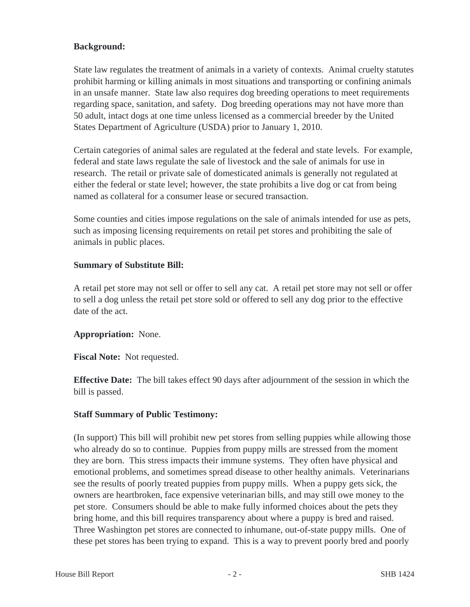## **Background:**

State law regulates the treatment of animals in a variety of contexts. Animal cruelty statutes prohibit harming or killing animals in most situations and transporting or confining animals in an unsafe manner. State law also requires dog breeding operations to meet requirements regarding space, sanitation, and safety. Dog breeding operations may not have more than 50 adult, intact dogs at one time unless licensed as a commercial breeder by the United States Department of Agriculture (USDA) prior to January 1, 2010.

Certain categories of animal sales are regulated at the federal and state levels. For example, federal and state laws regulate the sale of livestock and the sale of animals for use in research. The retail or private sale of domesticated animals is generally not regulated at either the federal or state level; however, the state prohibits a live dog or cat from being named as collateral for a consumer lease or secured transaction.

Some counties and cities impose regulations on the sale of animals intended for use as pets, such as imposing licensing requirements on retail pet stores and prohibiting the sale of animals in public places.

## **Summary of Substitute Bill:**

A retail pet store may not sell or offer to sell any cat. A retail pet store may not sell or offer to sell a dog unless the retail pet store sold or offered to sell any dog prior to the effective date of the act.

## **Appropriation:** None.

**Fiscal Note:** Not requested.

**Effective Date:** The bill takes effect 90 days after adjournment of the session in which the bill is passed.

## **Staff Summary of Public Testimony:**

(In support) This bill will prohibit new pet stores from selling puppies while allowing those who already do so to continue. Puppies from puppy mills are stressed from the moment they are born. This stress impacts their immune systems. They often have physical and emotional problems, and sometimes spread disease to other healthy animals. Veterinarians see the results of poorly treated puppies from puppy mills. When a puppy gets sick, the owners are heartbroken, face expensive veterinarian bills, and may still owe money to the pet store. Consumers should be able to make fully informed choices about the pets they bring home, and this bill requires transparency about where a puppy is bred and raised. Three Washington pet stores are connected to inhumane, out-of-state puppy mills. One of these pet stores has been trying to expand. This is a way to prevent poorly bred and poorly